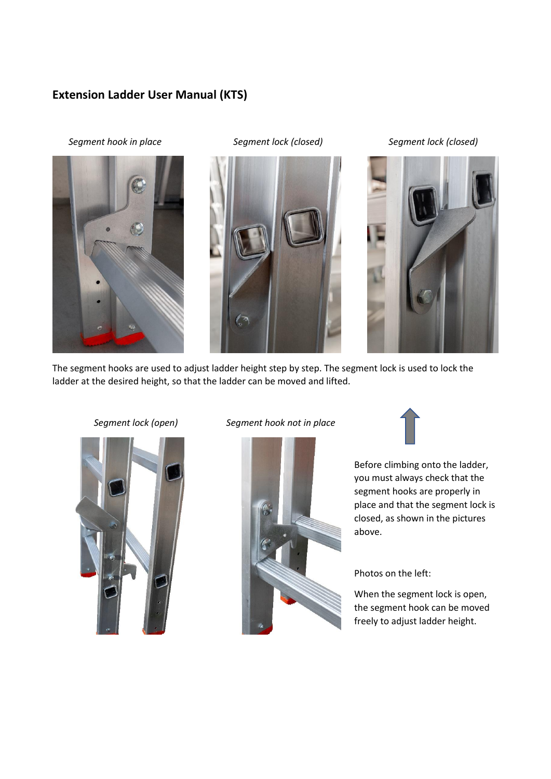## **Extension Ladder User Manual (KTS)**

 *Segment hook in place Segment lock (closed) Segment lock (closed)*







The segment hooks are used to adjust ladder height step by step. The segment lock is used to lock the ladder at the desired height, so that the ladder can be moved and lifted.



## *Segment lock (open) Segment hook not in place*





Before climbing onto the ladder, you must always check that the segment hooks are properly in place and that the segment lock is closed, as shown in the pictures above.

Photos on the left:

When the segment lock is open, the segment hook can be moved freely to adjust ladder height.